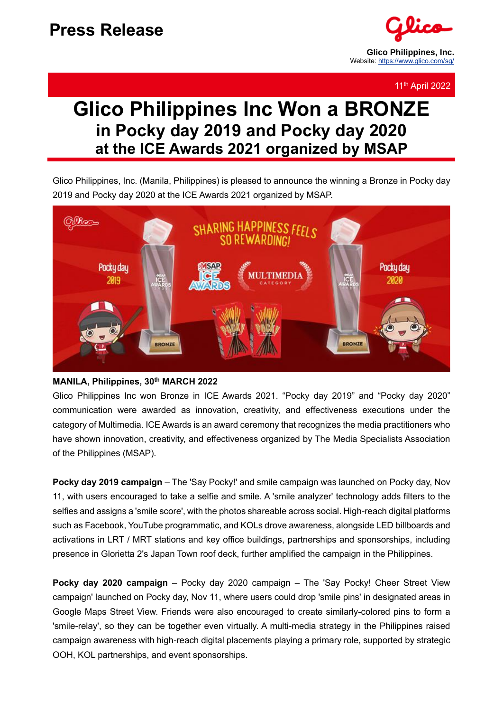

11th April 2022

## **Glico Philippines Inc Won a BRONZE in Pocky day 2019 and Pocky day 2020 at the ICE Awards 2021 organized by MSAP**

Glico Philippines, Inc. (Manila, Philippines) is pleased to announce the winning a Bronze in Pocky day 2019 and Pocky day 2020 at the ICE Awards 2021 organized by MSAP.



#### **MANILA, Philippines, 30th MARCH 2022**

Glico Philippines Inc won Bronze in ICE Awards 2021. "Pocky day 2019" and "Pocky day 2020" communication were awarded as innovation, creativity, and effectiveness executions under the category of Multimedia. ICE Awards is an award ceremony that recognizes the media practitioners who have shown innovation, creativity, and effectiveness organized by The Media Specialists Association of the Philippines (MSAP).

**Pocky day 2019 campaign** – The 'Say Pocky!' and smile campaign was launched on Pocky day, Nov 11, with users encouraged to take a selfie and smile. A 'smile analyzer' technology adds filters to the selfies and assigns a 'smile score', with the photos shareable across social. High-reach digital platforms such as Facebook, YouTube programmatic, and KOLs drove awareness, alongside LED billboards and activations in LRT / MRT stations and key office buildings, partnerships and sponsorships, including presence in Glorietta 2's Japan Town roof deck, further amplified the campaign in the Philippines.

**Pocky day 2020 campaign** – Pocky day 2020 campaign – The 'Say Pocky! Cheer Street View campaign' launched on Pocky day, Nov 11, where users could drop 'smile pins' in designated areas in Google Maps Street View. Friends were also encouraged to create similarly-colored pins to form a 'smile-relay', so they can be together even virtually. A multi-media strategy in the Philippines raised campaign awareness with high-reach digital placements playing a primary role, supported by strategic OOH, KOL partnerships, and event sponsorships.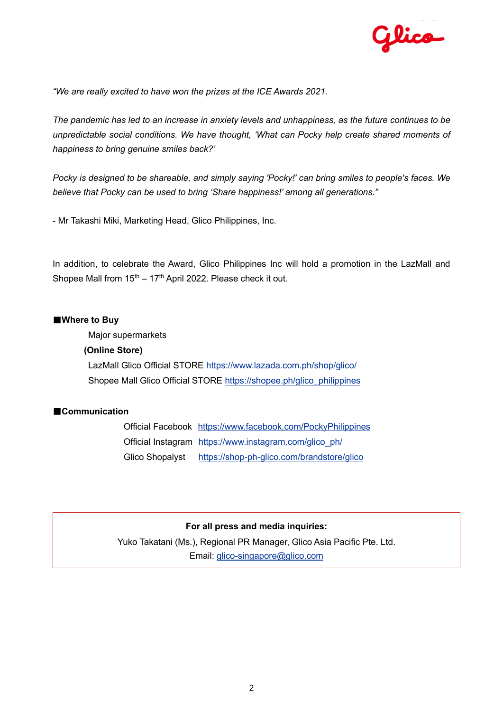

*"We are really excited to have won the prizes at the ICE Awards 2021.*

*The pandemic has led to an increase in anxiety levels and unhappiness, as the future continues to be unpredictable social conditions. We have thought, 'What can Pocky help create shared moments of happiness to bring genuine smiles back?'*

*Pocky is designed to be shareable, and simply saying 'Pocky!' can bring smiles to people's faces. We believe that Pocky can be used to bring 'Share happiness!' among all generations."*

- Mr Takashi Miki, Marketing Head, Glico Philippines, Inc.

In addition, to celebrate the Award, Glico Philippines Inc will hold a promotion in the LazMall and Shopee Mall from  $15<sup>th</sup> - 17<sup>th</sup>$  April 2022. Please check it out.

#### ■**Where to Buy**

Major supermarkets

#### **(Online Store)**

LazMall Glico Official STORE<https://www.lazada.com.ph/shop/glico/> Shopee Mall Glico Official STORE [https://shopee.ph/glico\\_philippines](https://shopee.ph/glico_philippines)

#### ■**Communication**

Official Facebook <https://www.facebook.com/PockyPhilippines> Official Instagram [https://www.instagram.com/glico\\_ph/](https://www.instagram.com/glico_ph/) Glico Shopalyst <https://shop-ph-glico.com/brandstore/glico>

#### **For all press and media inquiries:**

Yuko Takatani (Ms.), Regional PR Manager, Glico Asia Pacific Pte. Ltd. Email: [glico-singapore@glico.com](mailto:glico-singapore@glico.com)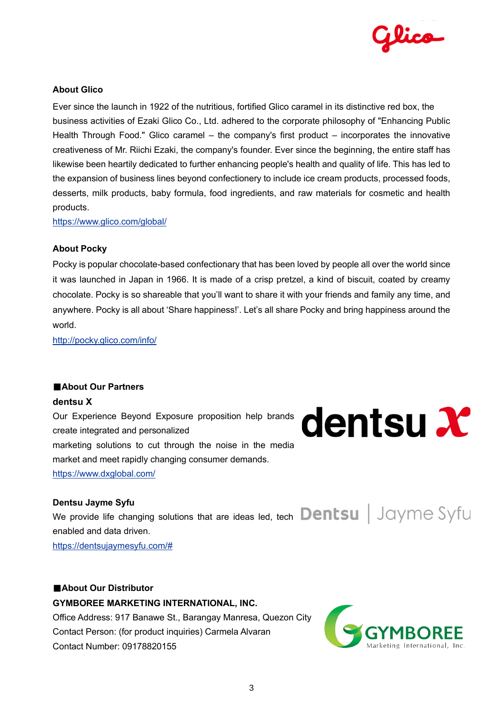

#### **About Glico**

Ever since the launch in 1922 of the nutritious, fortified Glico caramel in its distinctive red box, the business activities of Ezaki Glico Co., Ltd. adhered to the corporate philosophy of "Enhancing Public Health Through Food." Glico caramel – the company's first product – incorporates the innovative creativeness of Mr. Riichi Ezaki, the company's founder. Ever since the beginning, the entire staff has likewise been heartily dedicated to further enhancing people's health and quality of life. This has led to the expansion of business lines beyond confectionery to include ice cream products, processed foods, desserts, milk products, baby formula, food ingredients, and raw materials for cosmetic and health products.

<https://www.glico.com/global/>

#### **About Pocky**

Pocky is popular chocolate-based confectionary that has been loved by people all over the world since it was launched in Japan in 1966. It is made of a crisp pretzel, a kind of biscuit, coated by creamy chocolate. Pocky is so shareable that you'll want to share it with your friends and family any time, and anywhere. Pocky is all about 'Share happiness!'. Let's all share Pocky and bring happiness around the world.

<http://pocky.glico.com/info/>

#### ■**About Our Partners**

**dentsu X**

Our Experience Beyond Exposure proposition help brands create integrated and personalized marketing solutions to cut through the noise in the media market and meet rapidly changing consumer demands. <https://www.dxglobal.com/>

# **dentsu X**

#### **Dentsu Jayme Syfu**

We provide life changing solutions that are ideas led, tech **Dentsu** | Jayme Syfu enabled and data driven. [https://dentsujaymesyfu.com/#](https://dentsujaymesyfu.com/)

#### ■**About Our Distributor**

**GYMBOREE MARKETING INTERNATIONAL, INC.** Office Address: 917 Banawe St., Barangay Manresa, Quezon City Contact Person: (for product inquiries) Carmela Alvaran Contact Number: 09178820155